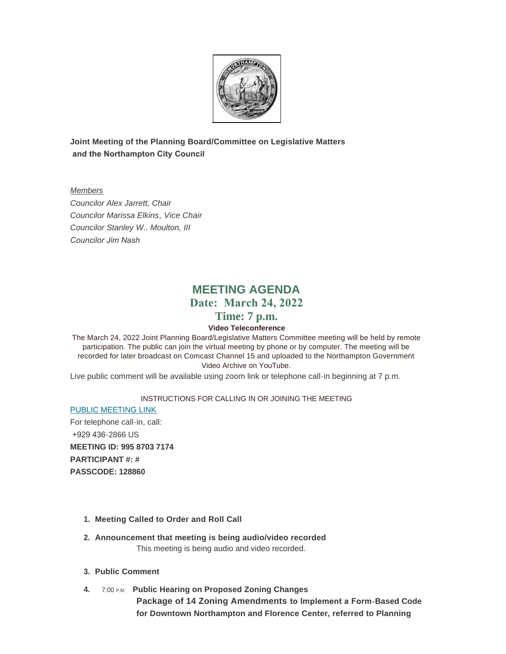

**Joint Meeting of the Planning Board/Committee on Legislative Matters and the Northampton City Council**

*Members Councilor Alex Jarrett, Chair Councilor Marissa Elkins, Vice Chair Councilor Stanley W.. Moulton, III Councilor Jim Nash* 

# **MEETING AGENDA Date: March 24, 2022**

# **Time: 7 p.m.**

# **Video Teleconference**

The March 24, 2022 Joint Planning Board/Legislative Matters Committee meeting will be held by remote participation. The public can join the virtual meeting by phone or by computer. The meeting will be recorded for later broadcast on Comcast Channel 15 and uploaded to the Northampton Government Video Archive on YouTube.

Live public comment will be available using zoom link or telephone call-in beginning at 7 p.m.

### INSTRUCTIONS FOR CALLING IN OR JOINING THE MEETING

[PUBLIC MEETING LINK](https://zoom.us/j/99587037174?pwd=MGVXRkRSRFd2a3ZGbXIrejlBUkkvQT09#success) For telephone call-in, call: +929 436-2866 US **MEETING ID: 995 8703 7174 PARTICIPANT #: # PASSCODE: 128860**

- **Meeting Called to Order and Roll Call 1.**
- **Announcement that meeting is being audio/video recorded 2.** This meeting is being audio and video recorded.
- **Public Comment 3.**
- **4. 7:00 P.M. Public Hearing on Proposed Zoning Changes Package of 14 Zoning Amendments to Implement a Form-Based Code for Downtown Northampton and Florence Center, referred to Planning**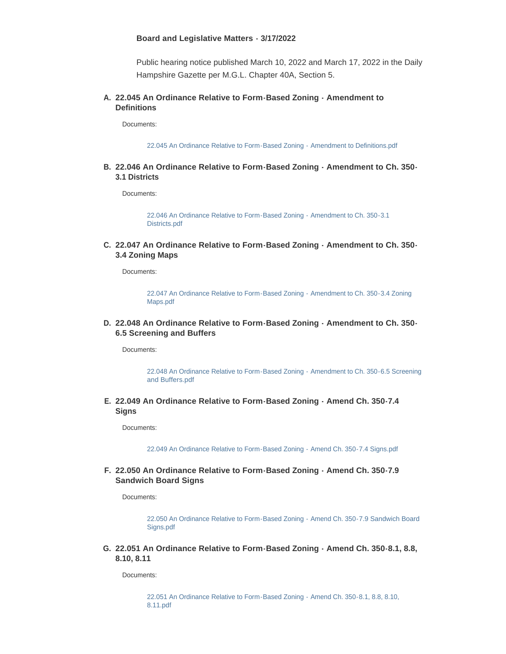#### **Board and Legislative Matters - 3/17/2022**

Public hearing notice published March 10, 2022 and March 17, 2022 in the Daily Hampshire Gazette per M.G.L. Chapter 40A, Section 5.

#### **22.045 An Ordinance Relative to Form-Based Zoning - Amendment to A. Definitions**

Documents:

[22.045 An Ordinance Relative to Form-Based Zoning - Amendment to Definitions.pdf](https://northamptonma.gov/AgendaCenter/ViewFile/Item/18795?fileID=164766)

**22.046 An Ordinance Relative to Form-Based Zoning - Amendment to Ch. 350- B. 3.1 Districts**

Documents:

[22.046 An Ordinance Relative to Form-Based Zoning - Amendment to Ch. 350-3.1](https://northamptonma.gov/AgendaCenter/ViewFile/Item/18796?fileID=164767)  Districts.pdf

**22.047 An Ordinance Relative to Form-Based Zoning - Amendment to Ch. 350- C. 3.4 Zoning Maps**

Documents:

[22.047 An Ordinance Relative to Form-Based Zoning - Amendment to Ch. 350-3.4 Zoning](https://northamptonma.gov/AgendaCenter/ViewFile/Item/18797?fileID=164768)  Maps.pdf

**22.048 An Ordinance Relative to Form-Based Zoning - Amendment to Ch. 350- D. 6.5 Screening and Buffers**

Documents:

[22.048 An Ordinance Relative to Form-Based Zoning - Amendment to Ch. 350-6.5 Screening](https://northamptonma.gov/AgendaCenter/ViewFile/Item/18798?fileID=164769)  and Buffers.pdf

**22.049 An Ordinance Relative to Form-Based Zoning - Amend Ch. 350-7.4 E. Signs**

Documents:

[22.049 An Ordinance Relative to Form-Based Zoning - Amend Ch. 350-7.4 Signs.pdf](https://northamptonma.gov/AgendaCenter/ViewFile/Item/18799?fileID=164770)

#### **22.050 An Ordinance Relative to Form-Based Zoning - Amend Ch. 350-7.9 F. Sandwich Board Signs**

Documents:

[22.050 An Ordinance Relative to Form-Based Zoning - Amend Ch. 350-7.9 Sandwich Board](https://northamptonma.gov/AgendaCenter/ViewFile/Item/18800?fileID=164771)  Signs.pdf

**22.051 An Ordinance Relative to Form-Based Zoning - Amend Ch. 350-8.1, 8.8, G. 8.10, 8.11**

Documents:

[22.051 An Ordinance Relative to Form-Based Zoning - Amend Ch. 350-8.1, 8.8, 8.10,](https://northamptonma.gov/AgendaCenter/ViewFile/Item/18801?fileID=164772)  8.11.pdf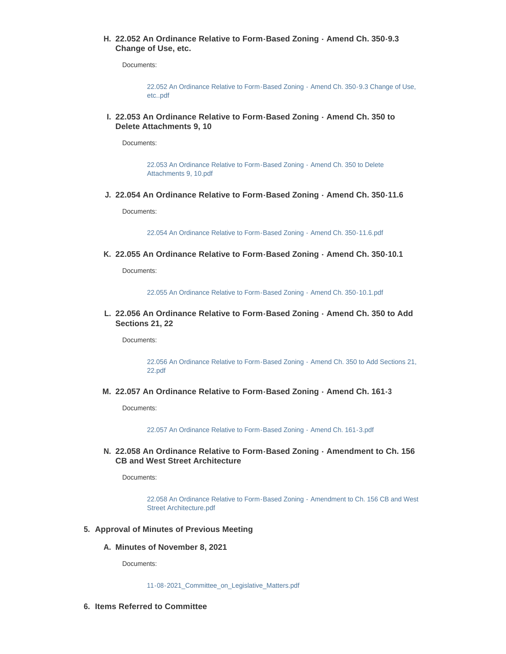**22.052 An Ordinance Relative to Form-Based Zoning - Amend Ch. 350-9.3 H. Change of Use, etc.** 

Documents:

[22.052 An Ordinance Relative to Form-Based Zoning - Amend Ch. 350-9.3 Change of Use,](https://northamptonma.gov/AgendaCenter/ViewFile/Item/18802?fileID=164773)  etc..pdf

**22.053 An Ordinance Relative to Form-Based Zoning - Amend Ch. 350 to I. Delete Attachments 9, 10** 

Documents:

[22.053 An Ordinance Relative to Form-Based Zoning - Amend Ch. 350 to Delete](https://northamptonma.gov/AgendaCenter/ViewFile/Item/18803?fileID=164774)  Attachments 9, 10.pdf

**22.054 An Ordinance Relative to Form-Based Zoning - Amend Ch. 350-11.6 J.**

Documents:

[22.054 An Ordinance Relative to Form-Based Zoning - Amend Ch. 350-11.6.pdf](https://northamptonma.gov/AgendaCenter/ViewFile/Item/18804?fileID=164775)

**22.055 An Ordinance Relative to Form-Based Zoning - Amend Ch. 350-10.1 K.**

Documents:

[22.055 An Ordinance Relative to Form-Based Zoning - Amend Ch. 350-10.1.pdf](https://northamptonma.gov/AgendaCenter/ViewFile/Item/18805?fileID=164776)

**22.056 An Ordinance Relative to Form-Based Zoning - Amend Ch. 350 to Add L. Sections 21, 22**

Documents:

[22.056 An Ordinance Relative to Form-Based Zoning - Amend Ch. 350 to Add Sections 21,](https://northamptonma.gov/AgendaCenter/ViewFile/Item/18806?fileID=164777)  22.pdf

**22.057 An Ordinance Relative to Form-Based Zoning - Amend Ch. 161-3 M.**

Documents:

[22.057 An Ordinance Relative to Form-Based Zoning - Amend Ch. 161-3.pdf](https://northamptonma.gov/AgendaCenter/ViewFile/Item/18807?fileID=164778)

**22.058 An Ordinance Relative to Form-Based Zoning - Amendment to Ch. 156 N. CB and West Street Architecture**

Documents:

[22.058 An Ordinance Relative to Form-Based Zoning - Amendment to Ch. 156 CB and West](https://northamptonma.gov/AgendaCenter/ViewFile/Item/18808?fileID=164779)  Street Architecture.pdf

- **Approval of Minutes of Previous Meeting 5.**
	- **Minutes of November 8, 2021 A.**

Documents:

[11-08-2021\\_Committee\\_on\\_Legislative\\_Matters.pdf](https://northamptonma.gov/AgendaCenter/ViewFile/Item/18523?fileID=163217)

**Items Referred to Committee 6.**